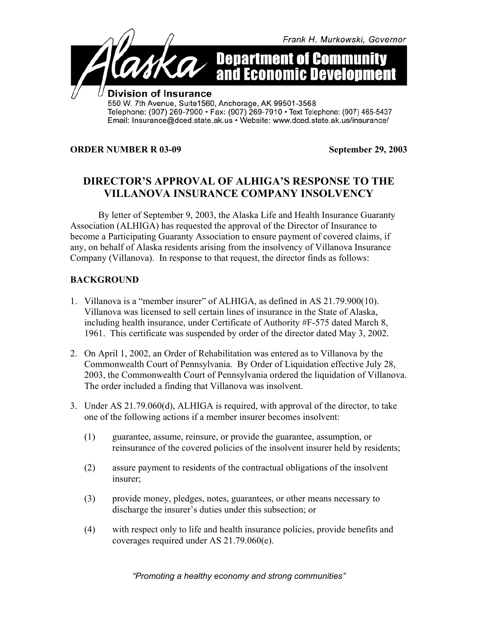

## **ORDER NUMBER R 03-09 September 29, 2003**

## **DIRECTOR'S APPROVAL OF ALHIGA'S RESPONSE TO THE VILLANOVA INSURANCE COMPANY INSOLVENCY**

By letter of September 9, 2003, the Alaska Life and Health Insurance Guaranty Association (ALHIGA) has requested the approval of the Director of Insurance to become a Participating Guaranty Association to ensure payment of covered claims, if any, on behalf of Alaska residents arising from the insolvency of Villanova Insurance Company (Villanova). In response to that request, the director finds as follows:

## **BACKGROUND**

- 1. Villanova is a "member insurer" of ALHIGA, as defined in AS 21.79.900(10). Villanova was licensed to sell certain lines of insurance in the State of Alaska, including health insurance, under Certificate of Authority #F-575 dated March 8, 1961. This certificate was suspended by order of the director dated May 3, 2002.
- 2. On April 1, 2002, an Order of Rehabilitation was entered as to Villanova by the Commonwealth Court of Pennsylvania. By Order of Liquidation effective July 28, 2003, the Commonwealth Court of Pennsylvania ordered the liquidation of Villanova. The order included a finding that Villanova was insolvent.
- 3. Under AS 21.79.060(d), ALHIGA is required, with approval of the director, to take one of the following actions if a member insurer becomes insolvent:
	- (1) guarantee, assume, reinsure, or provide the guarantee, assumption, or reinsurance of the covered policies of the insolvent insurer held by residents;
	- (2) assure payment to residents of the contractual obligations of the insolvent insurer;
	- (3) provide money, pledges, notes, guarantees, or other means necessary to discharge the insurer's duties under this subsection; or
	- (4) with respect only to life and health insurance policies, provide benefits and coverages required under AS 21.79.060(e).

*"Promoting a healthy economy and strong communities"*